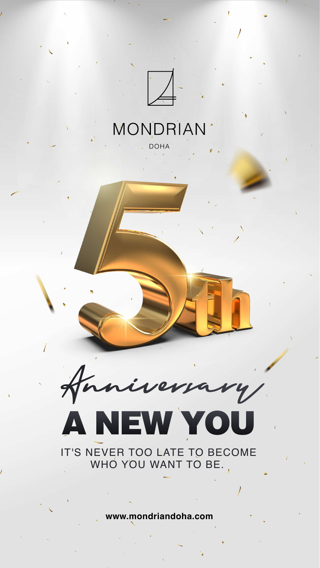

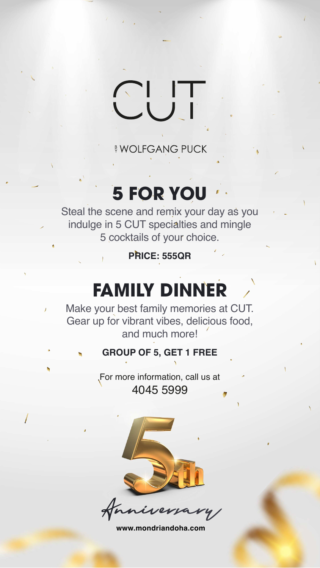

For more information, call us at 4045 5999



#### <sup>B</sup> WOLFGANG PUCK

## **5 FOR YOU**

Steal the scene and remix your day as you indulge in 5 CUT specialties and mingle 5 cocktails of your choice.

#### **PRICE: 555QR**

## **FAMILY DINNER**

Make your best family memories at CUT.  $\overline{1}$ Gear up for vibrant vibes, delicious food, and much more!

#### **GROUP OF 5, GET 1 FREE**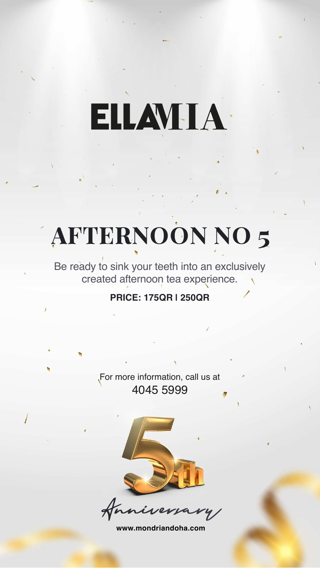**www.mondriandoha.com**



For more information, call us at 4045 5999

niversary

Be ready to sink your teeth into an exclusively created afternoon tea experience.

#### **PRICE: 175QR | 250QR**



ELLAVHA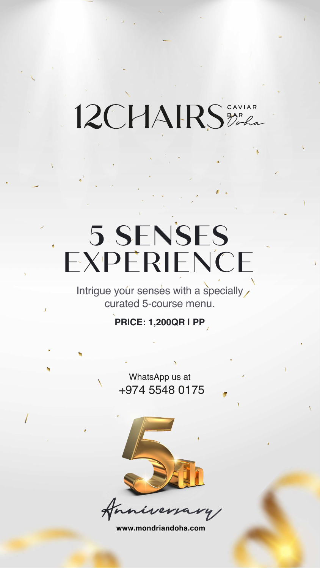**www.mondriandoha.com**



#### WhatsApp us at +974 5548 0175



niversary

Intrigue your senses with a specially curated 5-course menu.

**PRICE: 1,200QR | PP**

12CHAIRS BARA

# **5 SENSES** EXPERIENCE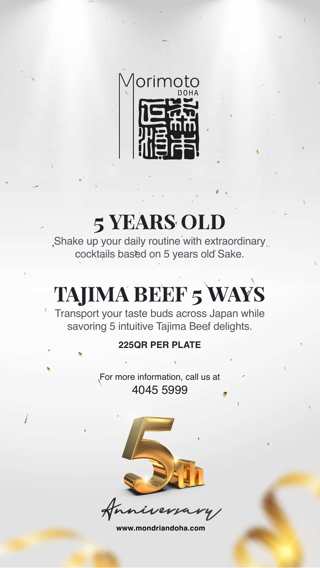

Shake up your daily routine with extraordinary cocktails based on 5 years old Sake.

> For more information, call us at 4045 5999





## 5 YEARS OLD

## TAJIMA BEEF 5 WAYS

Transport your taste buds across Japan while savoring 5 intuitive Tajima Beef delights.

#### **225QR PER PLATE**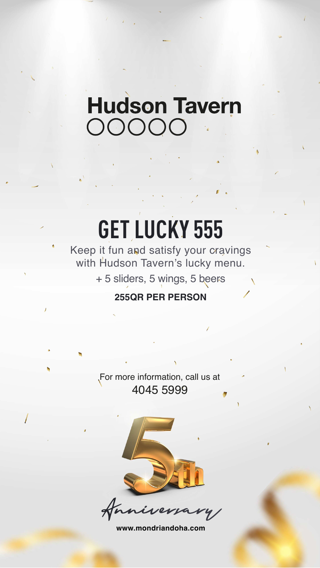**www.mondriandoha.com**



Keep it fun and satisfy your cravings with Hudson Tavern's lucky menu

> For more information, call us at 4045 5999

niversary

## **Hudson Tavern** OOOO

# **GET LUCKY 555**

+ 5 sliders, 5 wings, 5 beers **255QR PER PERSON**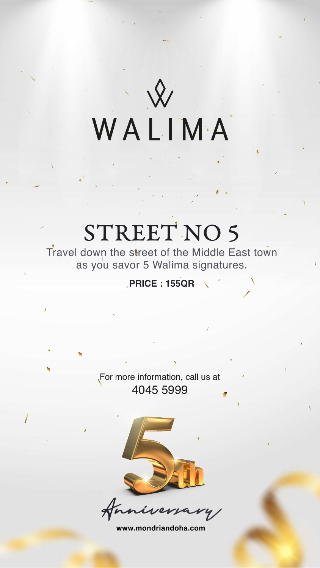



STREET NO 5

Travel down the street of the Middle East town

WALIMA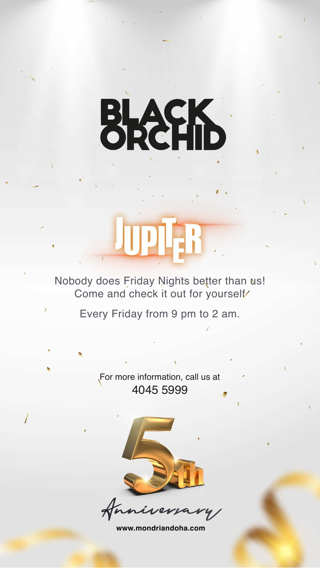

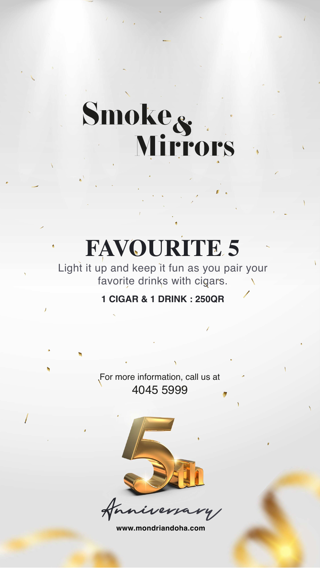

For more information, call us at 4045 5999

niversary

# Smoke<sub>s</sub>

# **FAVOURITE 5**

Light it up and keep it fun as you pair your favorite drinks with cigars.

#### **1 CIGAR & 1 DRINK : 250QR**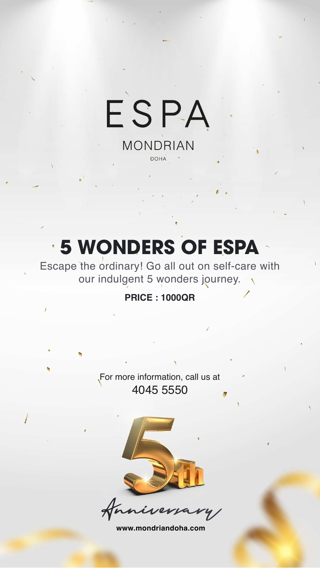# ESPA MONDRIAN

DOHA

**www.mondriandoha.com**



Escape the ordinary! Go all out on self-care with our indulgent 5 wonders journey.  $\Delta$ 

> For more information, call us at 4045 5550



 $\mathbf{r}$ 

niversary

## **5 WONDERS OF ESPA**

#### **PRICE : 1000QR**